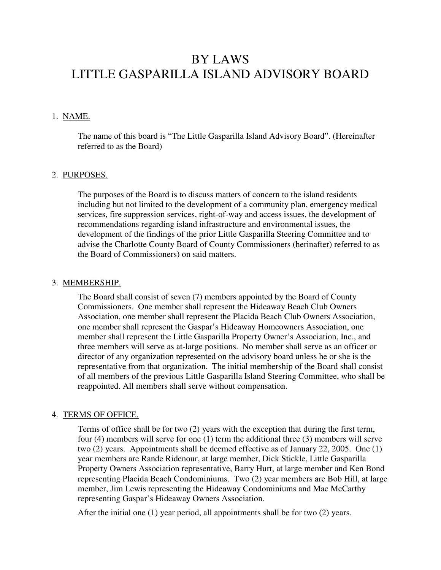# BY LAWS LITTLE GASPARILLA ISLAND ADVISORY BOARD

## 1. NAME.

The name of this board is "The Little Gasparilla Island Advisory Board". (Hereinafter referred to as the Board)

#### 2. PURPOSES.

The purposes of the Board is to discuss matters of concern to the island residents including but not limited to the development of a community plan, emergency medical services, fire suppression services, right-of-way and access issues, the development of recommendations regarding island infrastructure and environmental issues, the development of the findings of the prior Little Gasparilla Steering Committee and to advise the Charlotte County Board of County Commissioners (herinafter) referred to as the Board of Commissioners) on said matters.

#### 3. MEMBERSHIP.

The Board shall consist of seven (7) members appointed by the Board of County Commissioners. One member shall represent the Hideaway Beach Club Owners Association, one member shall represent the Placida Beach Club Owners Association, one member shall represent the Gaspar's Hideaway Homeowners Association, one member shall represent the Little Gasparilla Property Owner's Association, Inc., and three members will serve as at-large positions. No member shall serve as an officer or director of any organization represented on the advisory board unless he or she is the representative from that organization. The initial membership of the Board shall consist of all members of the previous Little Gasparilla Island Steering Committee, who shall be reappointed. All members shall serve without compensation.

#### 4. TERMS OF OFFICE.

Terms of office shall be for two (2) years with the exception that during the first term, four (4) members will serve for one (1) term the additional three (3) members will serve two (2) years. Appointments shall be deemed effective as of January 22, 2005. One (1) year members are Rande Ridenour, at large member, Dick Stickle, Little Gasparilla Property Owners Association representative, Barry Hurt, at large member and Ken Bond representing Placida Beach Condominiums. Two (2) year members are Bob Hill, at large member, Jim Lewis representing the Hideaway Condominiums and Mac McCarthy representing Gaspar's Hideaway Owners Association.

After the initial one  $(1)$  year period, all appointments shall be for two  $(2)$  years.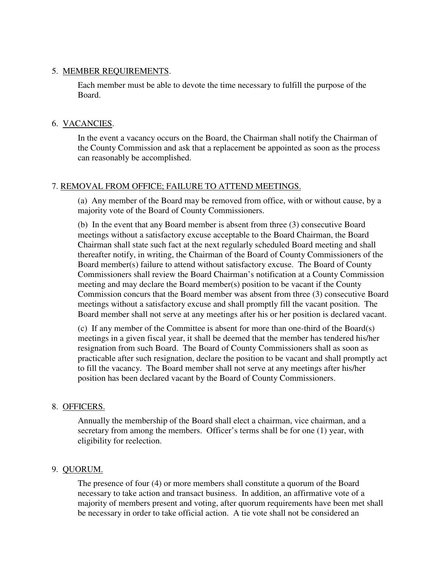## 5. MEMBER REQUIREMENTS.

Each member must be able to devote the time necessary to fulfill the purpose of the Board.

# 6. VACANCIES.

In the event a vacancy occurs on the Board, the Chairman shall notify the Chairman of the County Commission and ask that a replacement be appointed as soon as the process can reasonably be accomplished.

# 7. REMOVAL FROM OFFICE; FAILURE TO ATTEND MEETINGS.

(a) Any member of the Board may be removed from office, with or without cause, by a majority vote of the Board of County Commissioners.

(b) In the event that any Board member is absent from three (3) consecutive Board meetings without a satisfactory excuse acceptable to the Board Chairman, the Board Chairman shall state such fact at the next regularly scheduled Board meeting and shall thereafter notify, in writing, the Chairman of the Board of County Commissioners of the Board member(s) failure to attend without satisfactory excuse. The Board of County Commissioners shall review the Board Chairman's notification at a County Commission meeting and may declare the Board member(s) position to be vacant if the County Commission concurs that the Board member was absent from three (3) consecutive Board meetings without a satisfactory excuse and shall promptly fill the vacant position. The Board member shall not serve at any meetings after his or her position is declared vacant.

(c) If any member of the Committee is absent for more than one-third of the Board(s) meetings in a given fiscal year, it shall be deemed that the member has tendered his/her resignation from such Board. The Board of County Commissioners shall as soon as practicable after such resignation, declare the position to be vacant and shall promptly act to fill the vacancy. The Board member shall not serve at any meetings after his/her position has been declared vacant by the Board of County Commissioners.

# 8. OFFICERS.

Annually the membership of the Board shall elect a chairman, vice chairman, and a secretary from among the members. Officer's terms shall be for one (1) year, with eligibility for reelection.

# 9. QUORUM.

The presence of four (4) or more members shall constitute a quorum of the Board necessary to take action and transact business. In addition, an affirmative vote of a majority of members present and voting, after quorum requirements have been met shall be necessary in order to take official action. A tie vote shall not be considered an